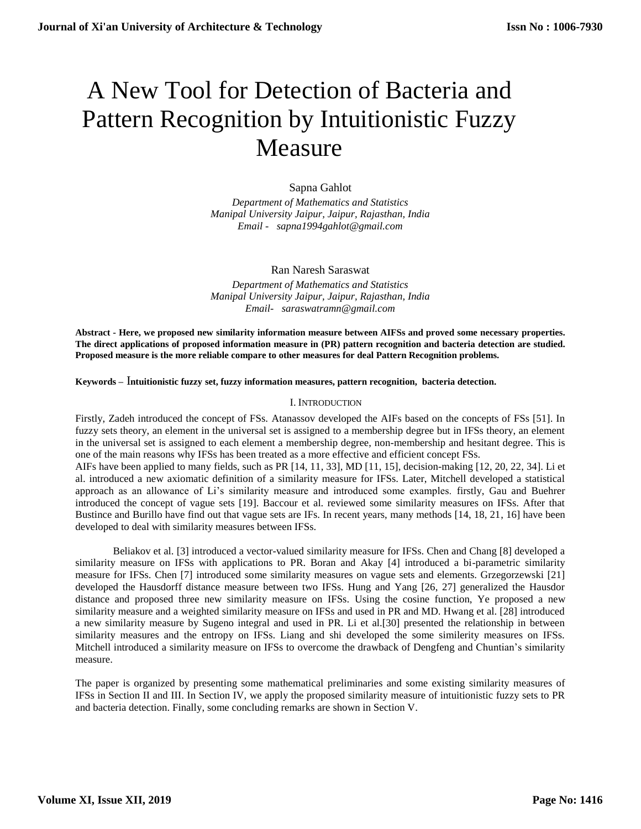# A New Tool for Detection of Bacteria and Pattern Recognition by Intuitionistic Fuzzy Measure

# Sapna Gahlot

*Department of Mathematics and Statistics Manipal University Jaipur, Jaipur, Rajasthan, India Email [- sapna1994gahlot@gmail.com](mailto:Email-%20%20%20anuradhamit@gmail.com)*

Ran Naresh Saraswat

*Department of Mathematics and Statistics Manipal University Jaipur, Jaipur, Rajasthan, India [Email- saraswatramn@gmail.com](mailto:Email-%20%20%20anuradhamit@gmail.com)*

**Abstract - Here, we proposed new similarity information measure between AIFSs and proved some necessary properties. The direct applications of proposed information measure in (PR) pattern recognition and bacteria detection are studied. Proposed measure is the more reliable compare to other measures for deal Pattern Recognition problems.**

**Keywords –** I**ntuitionistic fuzzy set, fuzzy information measures, pattern recognition, bacteria detection.**

#### I. INTRODUCTION

Firstly, Zadeh introduced the concept of FSs. Atanassov developed the AIFs based on the concepts of FSs [51]. In fuzzy sets theory, an element in the universal set is assigned to a membership degree but in IFSs theory, an element in the universal set is assigned to each element a membership degree, non-membership and hesitant degree. This is one of the main reasons why IFSs has been treated as a more effective and efficient concept FSs.

AIFs have been applied to many fields, such as PR [14, 11, 33], MD [11, 15], decision-making [12, 20, 22, 34]. Li et al. introduced a new axiomatic definition of a similarity measure for IFSs. Later, Mitchell developed a statistical approach as an allowance of Li's similarity measure and introduced some examples. firstly, Gau and Buehrer introduced the concept of vague sets [19]. Baccour et al. reviewed some similarity measures on IFSs. After that Bustince and Burillo have find out that vague sets are IFs. In recent years, many methods [14, 18, 21, 16] have been developed to deal with similarity measures between IFSs.

Beliakov et al. [3] introduced a vector-valued similarity measure for IFSs. Chen and Chang [8] developed a similarity measure on IFSs with applications to PR. Boran and Akay [4] introduced a bi-parametric similarity measure for IFSs. Chen [7] introduced some similarity measures on vague sets and elements. Grzegorzewski [21] developed the Hausdorff distance measure between two IFSs. Hung and Yang [26, 27] generalized the Hausdor distance and proposed three new similarity measure on IFSs. Using the cosine function, Ye proposed a new similarity measure and a weighted similarity measure on IFSs and used in PR and MD. Hwang et al. [28] introduced a new similarity measure by Sugeno integral and used in PR. Li et al.[30] presented the relationship in between similarity measures and the entropy on IFSs. Liang and shi developed the some similerity measures on IFSs. Mitchell introduced a similarity measure on IFSs to overcome the drawback of Dengfeng and Chuntian's similarity measure.

The paper is organized by presenting some mathematical preliminaries and some existing similarity measures of IFSs in Section II and III. In Section IV, we apply the proposed similarity measure of intuitionistic fuzzy sets to PR and bacteria detection. Finally, some concluding remarks are shown in Section V.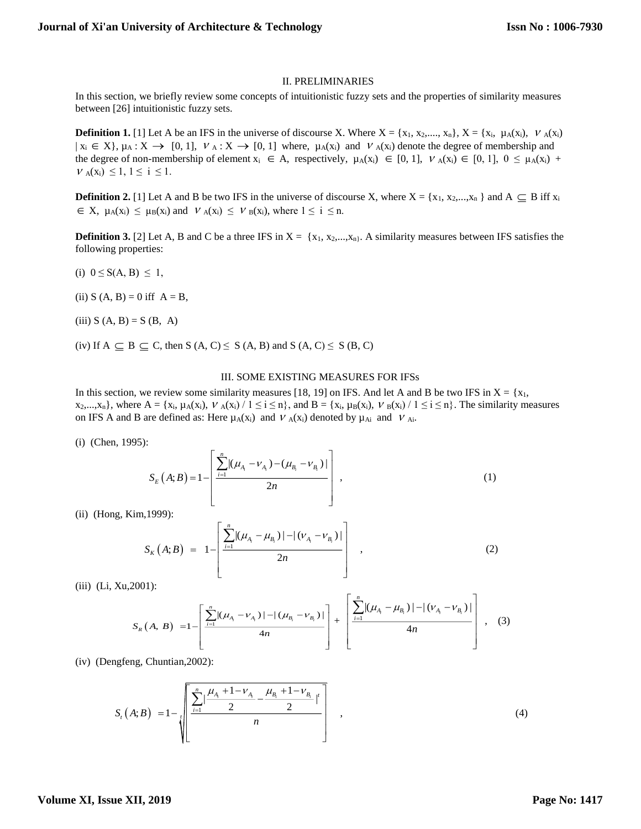#### II. PRELIMINARIES

In this section, we briefly review some concepts of intuitionistic fuzzy sets and the properties of similarity measures between [26] intuitionistic fuzzy sets.

**Definition 1.** [1] Let A be an IFS in the universe of discourse X. Where  $X = \{x_1, x_2,..., x_n\}$ ,  $X = \{x_i, \mu_A(x_i), \nu_A(x_i)\}$  $x_i \in X$ ,  $\mu_A : X \to [0, 1]$ ,  $v_A : X \to [0, 1]$  where,  $\mu_A(x_i)$  and  $v_A(x_i)$  denote the degree of membership and the degree of non-membership of element  $x_i \in A$ , respectively,  $\mu_A(x_i) \in [0, 1]$ ,  $V_A(x_i) \in [0, 1]$ ,  $0 \le \mu_A(x_i) +$  $V_A(x_i) \leq 1, 1 \leq i \leq 1.$ 

**Definition 2.** [1] Let A and B be two IFS in the universe of discourse X, where  $X = \{x_1, x_2,...,x_n\}$  and  $A \subseteq B$  iff  $x_i$  $\in X$ ,  $\mu_A(x_i) \leq \mu_B(x_i)$  and  $V_A(x_i) \leq V_B(x_i)$ , where  $1 \leq i \leq n$ .

**Definition 3.** [2] Let A, B and C be a three IFS in  $X = \{x_1, x_2, \ldots, x_n\}$ . A similarity measures between IFS satisfies the following properties:

- (i)  $0 \le S(A, B) \le 1$ ,
- (ii)  $S (A, B) = 0$  iff  $A = B$ ,
- (iii)  $S (A, B) = S (B, A)$
- (iv) If  $A \subseteq B \subseteq C$ , then  $S(A, C) \le S(A, B)$  and  $S(A, C) \le S(B, C)$

#### III. SOME EXISTING MEASURES FOR IFSs

In this section, we review some similarity measures [18, 19] on IFS. And let A and B be two IFS in  $X = \{x_1, x_2, \dots, x_n\}$  $x_2,...,x_n$ , where  $A = \{x_i, \mu_A(x_i), V_A(x_i) / 1 \le i \le n\}$ , and  $B = \{x_i, \mu_B(x_i), V_B(x_i) / 1 \le i \le n\}$ . The similarity measures on IFS A and B are defined as: Here  $\mu_A(x_i)$  and  $V_A(x_i)$  denoted by  $\mu_{Ai}$  and  $V_{Ai}$ .

(i) (Chen, 1995):

$$
S_E(A;B) = 1 - \left[ \frac{\sum_{i=1}^{n} |(\mu_{A_i} - \nu_{A_i}) - (\mu_{B_i} - \nu_{B_i})|}{2n} \right],
$$
\n(1)

(ii) (Hong, Kim,1999):

$$
S_{K}(A;B) = 1 - \left[ \frac{\sum_{i=1}^{n} |(\mu_{A_{i}} - \mu_{B_{i}})| - |(\nu_{A_{i}} - \nu_{B_{i}})|}{2n} \right], \qquad (2)
$$

(iii) (Li, Xu,2001):

$$
S_{R}(A, B) = 1 - \left[ \frac{\sum_{i=1}^{n} |(\mu_{A_{i}} - \nu_{A_{i}})| - |(\mu_{B_{i}} - \nu_{B_{i}})|}{4n} + \left[ \frac{\sum_{i=1}^{n} |(\mu_{A_{i}} - \mu_{B_{i}})| - |(\nu_{A_{i}} - \nu_{B_{i}})|}{4n} \right], (3)
$$

(iv) (Dengfeng, Chuntian,2002):

$$
S_{t}(A;B) = 1 - \sqrt{\left[\frac{\sum_{i=1}^{n} \left|\frac{\mu_{A_{i}} + 1 - \nu_{A_{i}}}{2} - \frac{\mu_{B_{i}} + 1 - \nu_{B_{i}}}{2}\right|^{t}}{n}\right]}
$$
 (4)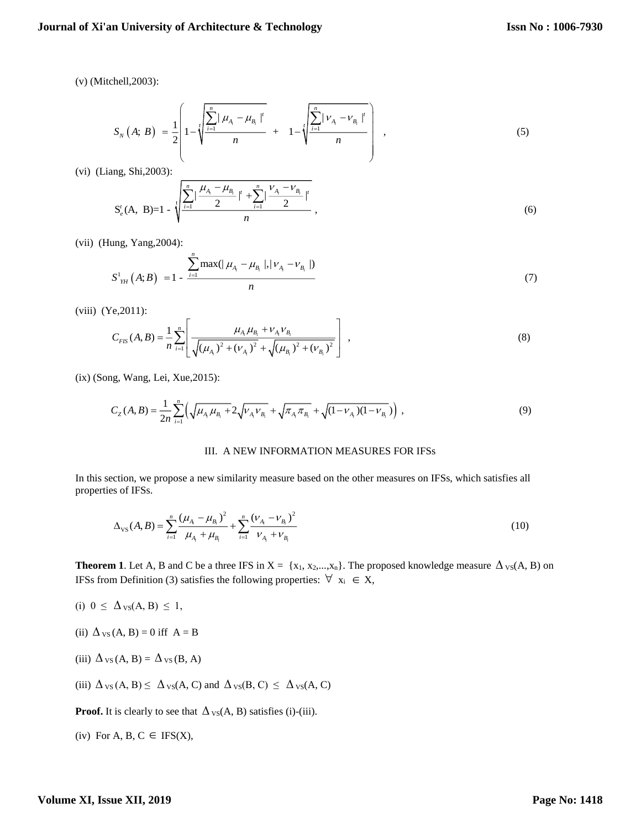(v) (Mitchell,2003):

$$
S_{N}(A; B) = \frac{1}{2} \left[ 1 - \sqrt{\frac{\sum_{i=1}^{n} |\mu_{A_{i}} - \mu_{B_{i}}|^{t}}{n}} + 1 - \sqrt{\frac{\sum_{i=1}^{n} |\nu_{A_{i}} - \nu_{B_{i}}|^{t}}{n}} \right], \qquad (5)
$$

(vi) (Liang, Shi,2003):

$$
S_e^t(A, B)=1-\sqrt[1]{\frac{\sum_{i=1}^n|\frac{\mu_{A_i}-\mu_{B_i}}{2}|^t+\sum_{i=1}^n|\frac{\nu_{A_i}-\nu_{B_i}}{2}|^t}{n}},
$$
\n(6)

(vii) (Hung, Yang,2004):

$$
S_{\gamma_{H}}^{1}(A;B) = 1 - \frac{\sum_{i=1}^{n} \max(|\mu_{A_{i}} - \mu_{B_{i}}|, |\nu_{A_{i}} - \nu_{B_{i}}|)}{n}
$$
(7)

(viii) (Ye,2011):

$$
C_{FIS}(A,B) = \frac{1}{n} \sum_{i=1}^{n} \left[ \frac{\mu_{A_i} \mu_{B_i} + \nu_{A_i} \nu_{B_i}}{\sqrt{(\mu_{A_i})^2 + (\nu_{A_i})^2} + \sqrt{(\mu_{B_i})^2 + (\nu_{B_i})^2}} \right],
$$
(8)

(ix) (Song, Wang, Lei, Xue,2015):

$$
C_Z(A,B) = \frac{1}{2n} \sum_{i=1}^n \left( \sqrt{\mu_{A_i} \mu_{B_i} + 2\sqrt{\nu_{A_i} \nu_{B_i}} + \sqrt{\pi_{A_i} \pi_{B_i}} + \sqrt{(1 - \nu_{A_i})(1 - \nu_{B_i})}} \right) ,
$$
\n(9)

### III. A NEW INFORMATION MEASURES FOR IFSs

In this section, we propose a new similarity measure based on the other measures on IFSs, which satisfies all properties of IFSs.

$$
\Delta_{\rm VS}(A,B) = \sum_{i=1}^n \frac{(\mu_{A_i} - \mu_{B_i})^2}{\mu_{A_i} + \mu_{B_i}} + \sum_{i=1}^n \frac{(\nu_{A_i} - \nu_{B_i})^2}{\nu_{A_i} + \nu_{B_i}}
$$
(10)

**Theorem 1**. Let A, B and C be a three IFS in  $X = \{x_1, x_2,...,x_n\}$ . The proposed knowledge measure  $\Delta_{VS}(A, B)$  on IFSs from Definition (3) satisfies the following properties:  $\forall x_i \in X$ ,

- (i)  $0 \leq \Delta_{\text{VS}}(A, B) \leq 1$ ,
- (ii)  $\Delta$ <sub>VS</sub>(A, B) = 0 iff A = B
- (iii)  $\Delta_{VS}(A, B) = \Delta_{VS}(B, A)$
- (iii)  $\Delta_{VS}(A, B) \leq \Delta_{VS}(A, C)$  and  $\Delta_{VS}(B, C) \leq \Delta_{VS}(A, C)$

**Proof.** It is clearly to see that  $\Delta_{VS}(A, B)$  satisfies (i)-(iii).

(iv) For A, B, 
$$
C \in IFS(X)
$$
,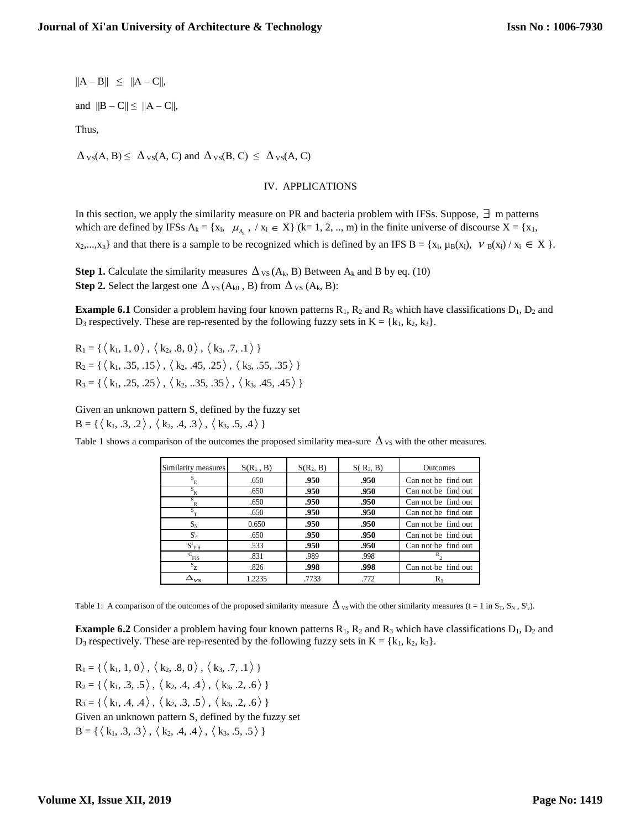$||A - B|| \leq ||A - C||,$ 

and  $||B - C|| \le ||A - C||$ ,

Thus,

 $\Delta_{\text{VS}}(A, B) \leq \Delta_{\text{VS}}(A, C)$  and  $\Delta_{\text{VS}}(B, C) \leq \Delta_{\text{VS}}(A, C)$ 

#### IV. APPLICATIONS

In this section, we apply the similarity measure on PR and bacteria problem with IFSs. Suppose,  $\exists$  m patterns which are defined by IFSs  $A_k = \{x_i, \mu_{A_k}, /x_i \in X\}$  (k= 1, 2, .., m) in the finite universe of discourse  $X = \{x_1, x_2, \dots, x_n\}$  $x_2,...,x_n$  and that there is a sample to be recognized which is defined by an IFS B = { $x_i, \mu_B(x_i), \nu_B(x_i) / x_i \in X$  }.

**Step 1.** Calculate the similarity measures  $\Delta_{VS}(A_k, B)$  Between  $A_k$  and B by eq. (10) **Step 2.** Select the largest one  $\Delta_{VS}(A_{k0}, B)$  from  $\Delta_{VS}(A_k, B)$ :

**Example 6.1** Consider a problem having four known patterns  $R_1$ ,  $R_2$  and  $R_3$  which have classifications  $D_1$ ,  $D_2$  and D<sub>3</sub> respectively. These are rep-resented by the following fuzzy sets in  $K = \{k_1, k_2, k_3\}$ .

 $R_1 = \{\langle k_1, 1, 0 \rangle, \langle k_2, .8, 0 \rangle, \langle k_3, .7, .1 \rangle \}$  $R_2 = \{\langle k_1, .35, .15 \rangle, \langle k_2, .45, .25 \rangle, \langle k_3, .55, .35 \rangle \}$  $R_3 = \{\langle k_1, .25, .25 \rangle, \langle k_2, .35, .35 \rangle, \langle k_3, .45, .45 \rangle \}$ 

Given an unknown pattern S, defined by the fuzzy set  $B = \{\langle k_1, .3, .2 \rangle, \langle k_2, .4, .3 \rangle, \langle k_3, .5, .4 \rangle\}$ 

Table 1 shows a comparison of the outcomes the proposed similarity mea-sure  $\Delta_{VS}$  with the other measures.

| Similarity measures     | $S(R_1, B)$ | $S(R_2, B)$ | $S(R_3, B)$ | <b>Outcomes</b>     |
|-------------------------|-------------|-------------|-------------|---------------------|
| $\mathbf{s}_{_{\rm E}}$ | .650        | .950        | .950        | Can not be find out |
| $S_{\overline{K}}$      | .650        | .950        | .950        | Can not be find out |
| s<br>R                  | .650        | .950        | .950        | Can not be find out |
| S                       | .650        | .950        | .950        | Can not be find out |
| $S_N$                   | 0.650       | .950        | .950        | Can not be find out |
| $S_{\rm e}^{\rm t}$     | .650        | .950        | .950        | Can not be find out |
| $S^1$ <sub>YH</sub>     | .533        | .950        | .950        | Can not be find out |
| $c$ <sub>FIS</sub>      | .831        | .989        | .998        |                     |
| $S_{7}$                 | .826        | .998        | .998        | Can not be find out |
| $\Delta_{_{VS}}$        | 1.2235      | .7733       | .772        | $R_1$               |

Table 1: A comparison of the outcomes of the proposed similarity measure  $\Delta_{v}$  with the other similarity measures (t = 1 in S<sub>T</sub>, S<sub>N</sub>, S<sup>t</sup><sub>e</sub>).

**Example 6.2** Consider a problem having four known patterns  $R_1$ ,  $R_2$  and  $R_3$  which have classifications  $D_1$ ,  $D_2$  and  $D_3$  respectively. These are rep-resented by the following fuzzy sets in  $K = \{k_1, k_2, k_3\}$ .

 $R_1 = \{\langle k_1, 1, 0 \rangle, \langle k_2, .8, 0 \rangle, \langle k_3, .7, .1 \rangle \}$  $R_2 = \{\langle k_1, .3, .5 \rangle, \langle k_2, .4, .4 \rangle, \langle k_3, .2, .6 \rangle \}$  $R_3 = \{\langle k_1, .4, .4 \rangle, \langle k_2, .3, .5 \rangle, \langle k_3, .2, .6 \rangle \}$ Given an unknown pattern S, defined by the fuzzy set  $B = \{\langle k_1, .3, .3 \rangle, \langle k_2, .4, .4 \rangle, \langle k_3, .5, .5 \rangle\}$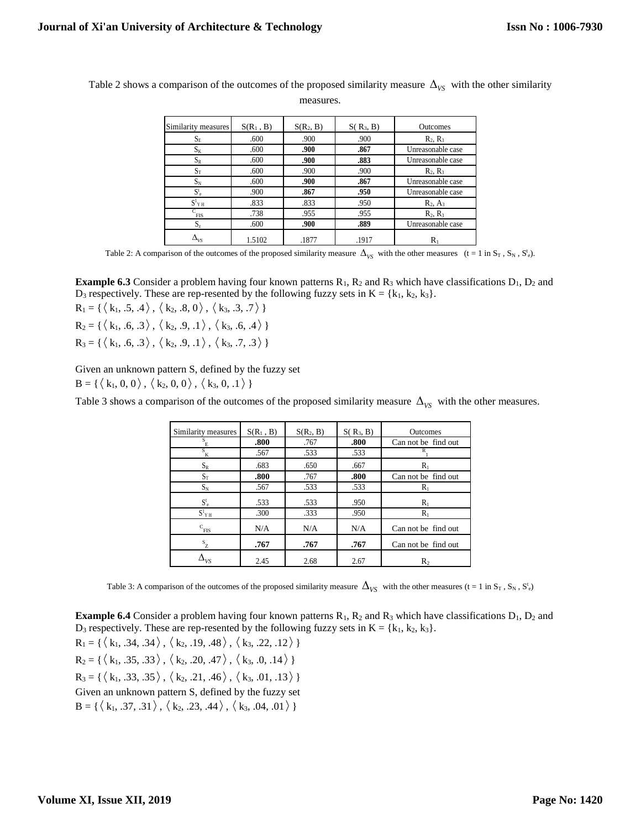| Similarity measures | $S(R_1, B)$ | $S(R_2, B)$ | $S(R_3, B)$ | <b>Outcomes</b>   |
|---------------------|-------------|-------------|-------------|-------------------|
| $S_{E}$             | .600        | .900        | .900        | $R_2, R_3$        |
| $S_{K}$             | .600        | .900        | .867        | Unreasonable case |
| $S_R$               | .600        | .900        | .883        | Unreasonable case |
| $S_T$               | .600        | .900        | .900        | $R_2, R_3$        |
| $D_N$               | .600        | .900        | .867        | Unreasonable case |
| $S_{\rm e}^{\rm t}$ | .900        | .867        | .950        | Unreasonable case |
| $S^1$ Y H           | .833        | .833        | .950        | $R_2, A_3$        |
| r<br><b>FIS</b>     | .738        | .955        | .955        | $R_2, R_3$        |
| $S_{\rm z}$         | .600        | .900        | .889        | Unreasonable case |
|                     | 1.5102      | .1877       | .1917       | $R_{1}$           |

Table 2 shows a comparison of the outcomes of the proposed similarity measure  $\Delta_{VS}$  with the other similarity

measures.

Table 2: A comparison of the outcomes of the proposed similarity measure  $\Delta_{V_S}$  with the other measures  $(t = 1 \text{ in } S_T, S_N, S_e^t)$ .

**Example 6.3** Consider a problem having four known patterns  $R_1$ ,  $R_2$  and  $R_3$  which have classifications  $D_1$ ,  $D_2$  and D<sub>3</sub> respectively. These are rep-resented by the following fuzzy sets in  $K = \{k_1, k_2, k_3\}$ .

 $R_1 = \{\langle k_1, .5, .4 \rangle, \langle k_2, .8, 0 \rangle, \langle k_3, .3, .7 \rangle \}$  $R_2 = \{\langle k_1, .6, .3 \rangle, \langle k_2, .9, .1 \rangle, \langle k_3, .6, .4 \rangle \}$ 

 $R_3 = \{\langle k_1, .6, .3 \rangle, \langle k_2, .9, .1 \rangle, \langle k_3, .7, .3 \rangle\}$ 

Given an unknown pattern S, defined by the fuzzy set  $B = \{\langle k_1, 0, 0 \rangle, \langle k_2, 0, 0 \rangle, \langle k_3, 0, 0 \rangle\}$ 

Table 3 shows a comparison of the outcomes of the proposed similarity measure  $\Delta_{VS}$  with the other measures.

| Similarity measures | $S(R_1, B)$ | $S(R_2, B)$ | $S(R_3, B)$ | <b>Outcomes</b>     |
|---------------------|-------------|-------------|-------------|---------------------|
| Е                   | .800        | .767        | .800        | Can not be find out |
| s<br>K              | .567        | .533        | .533        | R                   |
| $S_R$               | .683        | .650        | .667        | Rı                  |
| $S_T$               | .800        | .767        | .800        | Can not be find out |
| $S_N$               | .567        | .533        | .533        | $R_1$               |
| $S_{e}^{t}$         | .533        | .533        | .950        | $R_1$               |
| $S^1$ <sub>YH</sub> | .300        | .333        | .950        | $R_1$               |
| C<br>FIS            | N/A         | N/A         | N/A         | Can not be find out |
| $S_{Z}$             | .767        | .767        | .767        | Can not be find out |
|                     | 2.45        | 2.68        | 2.67        | $\mathbf{R}_2$      |

Table 3: A comparison of the outcomes of the proposed similarity measure  $\Delta_{V\!S}^-$  with the other measures (t = 1 in S<sub>T</sub>, S<sub>N</sub>, S<sup>t</sup><sub>e</sub>)

**Example 6.4** Consider a problem having four known patterns  $R_1$ ,  $R_2$  and  $R_3$  which have classifications  $D_1$ ,  $D_2$  and D<sub>3</sub> respectively. These are rep-resented by the following fuzzy sets in  $K = \{k_1, k_2, k_3\}$ .

 $R_1 = \{\langle k_1, .34, .34 \rangle, \langle k_2, .19, .48 \rangle, \langle k_3, .22, .12 \rangle\}$  $R_2 = \{\langle k_1, .35, .33 \rangle, \langle k_2, .20, .47 \rangle, \langle k_3, .0, .14 \rangle \}$  $R_3 = \{\langle k_1, .33, .35 \rangle, \langle k_2, .21, .46 \rangle, \langle k_3, .01, .13 \rangle \}$ Given an unknown pattern S, defined by the fuzzy set  $B = \{\langle k_1, .37, .31 \rangle, \langle k_2, .23, .44 \rangle, \langle k_3, .04, .01 \rangle\}$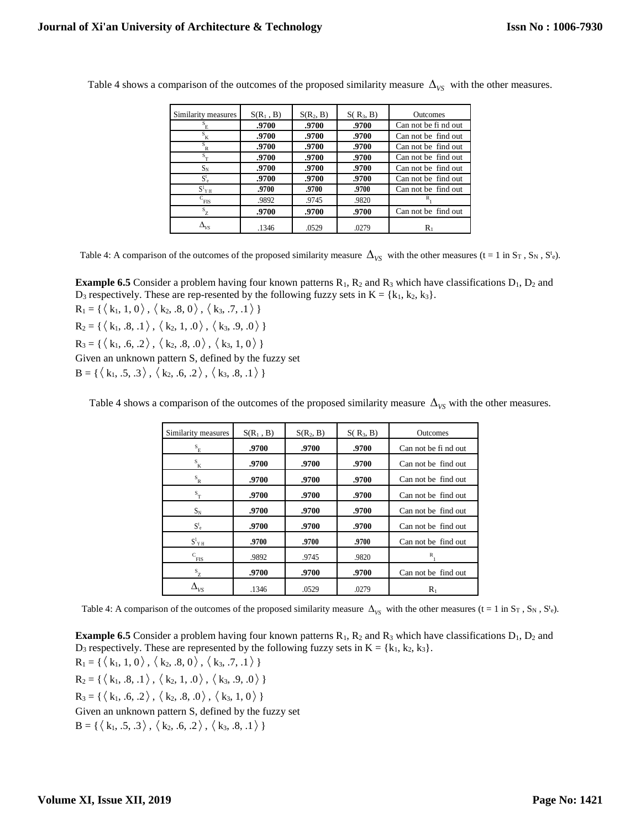| Similarity measures | $S(R_1, B)$ | $S(R_2, B)$ | $S(R_3, B)$ | <b>Outcomes</b>     |
|---------------------|-------------|-------------|-------------|---------------------|
| E                   | .9700       | .9700       | .9700       | Can not be find out |
| S<br>΄K             | .9700       | .9700       | .9700       | Can not be find out |
| s<br>R              | .9700       | .9700       | .9700       | Can not be find out |
| S                   | .9700       | .9700       | .9700       | Can not be find out |
| $S_N$               | .9700       | .9700       | .9700       | Can not be find out |
| $S_{e}^{t}$         | .9700       | .9700       | .9700       | Can not be find out |
| $S^1$ Y H           | .9700       | .9700       | .9700       | Can not be find out |
| $c$ <sub>FIS</sub>  | .9892       | .9745       | .9820       |                     |
| S<br>Z              | .9700       | .9700       | .9700       | Can not be find out |
| $\Delta_{_{V\!S}}$  | .1346       | .0529       | .0279       | Rı                  |

Table 4 shows a comparison of the outcomes of the proposed similarity measure  $\Delta_{VS}$  with the other measures.

Table 4: A comparison of the outcomes of the proposed similarity measure  $\Delta_{V_S}$  with the other measures (t = 1 in S<sub>T</sub>, S<sub>N</sub>, S<sup>t</sup><sub>e</sub>).

**Example 6.5** Consider a problem having four known patterns  $R_1$ ,  $R_2$  and  $R_3$  which have classifications  $D_1$ ,  $D_2$  and  $D_3$  respectively. These are rep-resented by the following fuzzy sets in  $K = \{k_1, k_2, k_3\}$ .

 $R_1 = \{\langle k_1, 1, 0 \rangle, \langle k_2, .8, 0 \rangle, \langle k_3, .7, .1 \rangle \}$  $R_2 = \{\langle k_1, .8, .1 \rangle, \langle k_2, 1, .0 \rangle, \langle k_3, .9, .0 \rangle\}$ 

 $R_3 = \{\langle k_1, .6, .2 \rangle, \langle k_2, .8, .0 \rangle, \langle k_3, 1, 0 \rangle \}$ 

Given an unknown pattern S, defined by the fuzzy set

 $B = \{ \langle k_1, .5, .3 \rangle, \langle k_2, .6, .2 \rangle, \langle k_3, .8, .1 \rangle \}$ 

Table 4 shows a comparison of the outcomes of the proposed similarity measure  $\Delta_{VS}$  with the other measures.

| Similarity measures       | $S(R_1, B)$ | $S(R_2, B)$ | $S(R_3, B)$ | <b>Outcomes</b>      |
|---------------------------|-------------|-------------|-------------|----------------------|
| $\mathbf{s}_{_{\rm E}}$   | .9700       | .9700       | .9700       | Can not be fi nd out |
| $\mathbf{s}_{\mathbf{K}}$ | .9700       | .9700       | .9700       | Can not be find out  |
| $S_R$                     | .9700       | .9700       | .9700       | Can not be find out  |
| $S_T$                     | .9700       | .9700       | .9700       | Can not be find out  |
| $S_N$                     | .9700       | .9700       | .9700       | Can not be find out  |
| $S_e^t$                   | .9700       | .9700       | .9700       | Can not be find out  |
| $S^1$ <sub>YH</sub>       | .9700       | .9700       | .9700       | Can not be find out  |
| C<br>FIS                  | .9892       | .9745       | .9820       | R                    |
| $S_{Z}$                   | .9700       | .9700       | .9700       | Can not be find out  |
| $\Delta_{VS}$             | .1346       | .0529       | .0279       | $R_1$                |

Table 4: A comparison of the outcomes of the proposed similarity measure  $\Delta_{V_S}$  with the other measures (t = 1 in S<sub>T</sub>, S<sub>N</sub>, S<sup>t</sup><sub>e</sub>).

**Example 6.5** Consider a problem having four known patterns  $R_1$ ,  $R_2$  and  $R_3$  which have classifications  $D_1$ ,  $D_2$  and D<sub>3</sub> respectively. These are represented by the following fuzzy sets in  $K = \{k_1, k_2, k_3\}$ .

 $R_1 = \{\langle k_1, 1, 0 \rangle, \langle k_2, .8, 0 \rangle, \langle k_3, .7, .1 \rangle \}$  $R_2 = \{\langle k_1, .8, .1 \rangle, \langle k_2, 1, .0 \rangle, \langle k_3, .9, .0 \rangle\}$  $R_3 = \{\langle k_1, .6, .2 \rangle, \langle k_2, .8, .0 \rangle, \langle k_3, 1, 0 \rangle \}$ Given an unknown pattern S, defined by the fuzzy set  $B = \{\langle k_1, .5, .3 \rangle, \langle k_2, .6, .2 \rangle, \langle k_3, .8, .1 \rangle\}$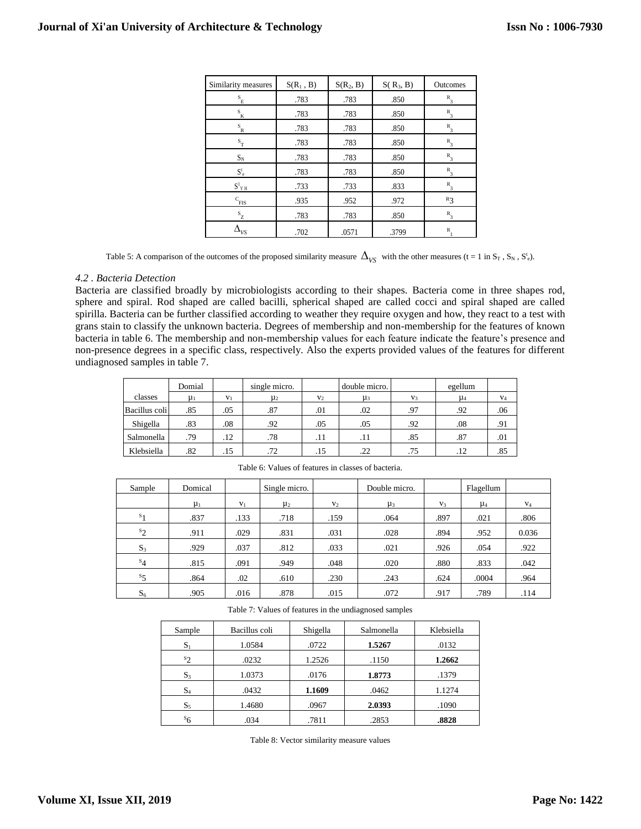| Similarity measures                      | $S(R_1, B)$ | $S(R_2, B)$ | $S(R_3, B)$ | Outcomes           |
|------------------------------------------|-------------|-------------|-------------|--------------------|
| $\mathbf{s}_{_{\rm E}}$                  | .783        | .783        | .850        | $R_{3}$            |
| $\mathbf{s}_{\mathbf{K}}$                | .783        | .783        | .850        | $R_3$              |
| $S_{R}$                                  | .783        | .783        | .850        | $R_{3}$            |
| $\mathbf{s}_{_{\mathrm{T}}}$             | .783        | .783        | .850        | $R_{3}$            |
| $S_N$                                    | .783        | .783        | .850        | $R_{3}$            |
| $\mathbf{S}_{\ \mathrm{e}}^{\mathrm{t}}$ | .783        | .783        | .850        | $R_{3}$            |
| $S^1{}_{Y\,H}$                           | .733        | .733        | .833        | $R_{\overline{3}}$ |
| C<br>FIS                                 | .935        | .952        | .972        | $R_3$              |
| $S_{\underline{Z}}$                      | .783        | .783        | .850        | $R_{3}$            |
| $\Delta_{VS}$                            | .702        | .0571       | .3799       | $\mathbb{R}$       |

Table 5: A comparison of the outcomes of the proposed similarity measure  $\Delta_{\rm VS}$  with the other measures (t = 1 in S<sub>T</sub>, S<sub>N</sub>, S<sup>t</sup><sub>e</sub>).

#### *4.2 . Bacteria Detection*

Bacteria are classified broadly by microbiologists according to their shapes. Bacteria come in three shapes rod, sphere and spiral. Rod shaped are called bacilli, spherical shaped are called cocci and spiral shaped are called spirilla. Bacteria can be further classified according to weather they require oxygen and how, they react to a test with grans stain to classify the unknown bacteria. Degrees of membership and non-membership for the features of known bacteria in table 6. The membership and non-membership values for each feature indicate the feature's presence and non-presence degrees in a specific class, respectively. Also the experts provided values of the features for different undiagnosed samples in table 7.

|               | Domial  |                | single micro. |       | double micro. |                | egellum |       |
|---------------|---------|----------------|---------------|-------|---------------|----------------|---------|-------|
| classes       | $\mu_1$ | V <sub>1</sub> | $\mu_2$       | $V_2$ | $\mu_3$       | V <sub>3</sub> | $\mu_4$ | $V_4$ |
| Bacillus coli | .85     | .05            | .87           | .01   | .02           | .97            | .92     | .06   |
| Shigella      | .83     | .08            | .92           | .05   | .05           | .92            | .08     | .91   |
| Salmonella    | .79     | $.12\,$        | .78           | .11   | .11           | .85            | .87     | .01   |
| Klebsiella    | .82     | .15            | .72           | .15   | .22           | .75            | .12     | .85   |

| Sample         | Domical |                | Single micro. |                | Double micro. |       | Flagellum |                |
|----------------|---------|----------------|---------------|----------------|---------------|-------|-----------|----------------|
|                | $\mu_1$ | V <sub>1</sub> | $\mu_2$       | V <sub>2</sub> | $\mu_3$       | $V_3$ | $\mu_4$   | V <sub>4</sub> |
| $s_1$          | .837    | .133           | .718          | .159           | .064          | .897  | .021      | .806           |
| $s_2$          | .911    | .029           | .831          | .031           | .028          | .894  | .952      | 0.036          |
| $S_3$          | .929    | .037           | .812          | .033           | .021          | .926  | .054      | .922           |
| $s_4$          | .815    | .091           | .949          | .048           | .020          | .880  | .833      | .042           |
| $s_{5}$        | .864    | .02            | .610          | .230           | .243          | .624  | .0004     | .964           |
| S <sub>6</sub> | .905    | .016           | .878          | .015           | .072          | .917  | .789      | .114           |

Table 6: Values of features in classes of bacteria.

Table 7: Values of features in the undiagnosed samples

| Sample         | Bacillus coli | Shigella | Salmonella | Klebsiella |
|----------------|---------------|----------|------------|------------|
| $S_1$          | 1.0584        | .0722    | 1.5267     | .0132      |
| $s_2$          | .0232         | 1.2526   | .1150      | 1.2662     |
| $S_3$          | 1.0373        | .0176    | 1.8773     | .1379      |
| $S_4$          | .0432         | 1.1609   | .0462      | 1.1274     |
| $S_5$          | 1.4680        | .0967    | 2.0393     | .1090      |
| s <sub>6</sub> | .034          | .7811    | .2853      | .8828      |

Table 8: Vector similarity measure values